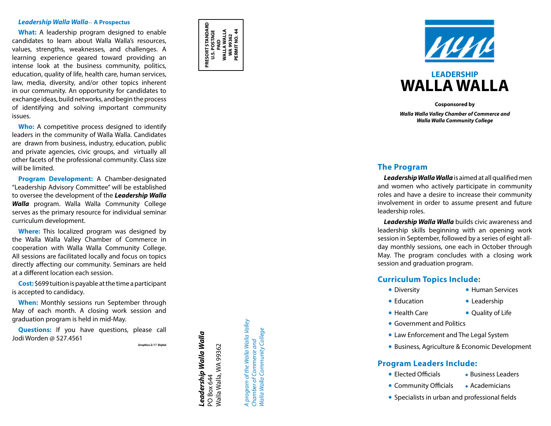#### *Leadership Walla Walla* -**- A Prospectus**

**What:** A leadership program designed to enable candidates to learn about Walla Walla's resources, values, strengths, weaknesses, and challenges. A learning experience geared toward providing an intense look at the business community, politics, education, quality of life, health care, human services, law, media, diversity, and/or other topics inherent in our community. An opportunity for candidates to exchange ideas, build networks, and begin the process of identifying and solving important community issues.

**Who:** A competitive process designed to identify leaders in the community of Walla Walla. Candidates are drawn from business, industry, education, public and private agencies, civic groups, and virtually all other facets of the professional community. Class size will be limited.

**Program Development:** A Chamber-designated "Leadership Advisory Committee" will be established to oversee the development of the *Leadership Walla Walla* program. Walla Walla Community College serves as the primary resource for individual seminar curriculum development.

**Where:** This localized program was designed by the Walla Walla Valley Chamber of Commerce in cooperation with Walla Walla Community College. All sessions are facilitated locally and focus on topics directly affecting our community. Seminars are held at a different location each session.

**Cost:** \$699 tuition is payable at the time a participant is accepted to candidacy.

**When:** Monthly sessions run September through May of each month. A closing work session and graduation program is held in mid-May.

**Questions:** If you have questions, please call Jodi Worden @ 527.4561

Graphics 2/17 Digital

Leadership Walla Walla *Leadership Walla Walla* Walla Walla, WA 99362 Walla Walla, WA 99362 PO Box 644 PO Box 644

**PRESORT STANDARD U.S. POSTAGE** PAID<br>WALLA WALLA<br>WA 99362 **WALLA WALLA WA 99362 PERMIT NO. 44**

**PRESORT STANDARD<br>U.S. POSTAGE** 

PERMIT NO. 44

program of the Walla Walla Valley *A program of the Walla Walla Valley* Walla Walla Community College *Walla Walla Community College* Chamber of Commerce and *Chamber of Commerce and* ਵ



# **LEADERSHIP WALLA WALLA**

**Cosponsored by** *Walla Walla Valley Chamber of Commerce and Walla Walla Community College*

#### **The Program**

*Leadership Walla Walla* is aimed at all qualified men and women who actively participate in community roles and have a desire to increase their community involvement in order to assume present and future leadership roles.

*Leadership Walla Walla* builds civic awareness and leadership skills beginning with an opening work session in September, followed by a series of eight allday monthly sessions, one each in October through May. The program concludes with a closing work session and graduation program.

## **Curriculum Topics Include:**

- Diversity
- Health Care Human Services Leadership Quality of Life
- Education
	-
	-
- 
- 
- Government and Politics<br>• Law Enforcement and The Legal System<br>• Business, Agriculture & Economic Development<br>• **Ogram Leaders Include:**<br>• Elected Officials<br>• Community Officials<br>• Specialists in urban and professional f

## **Program Leaders Include:**

- Elected Officials Business Leaders
- Community Officials Academicians
-